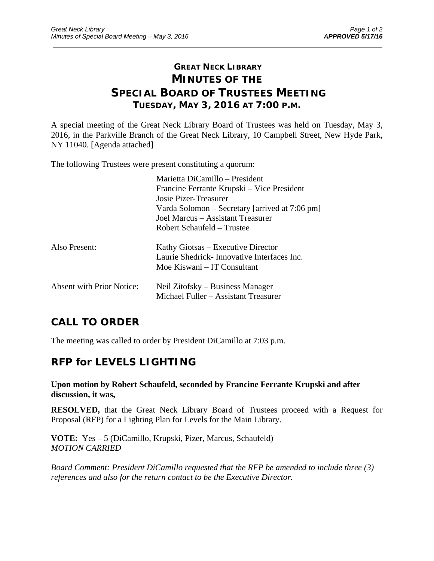# **GREAT NECK LIBRARY MINUTES OF THE SPECIAL BOARD OF TRUSTEES MEETING TUESDAY, MAY 3, 2016 AT 7:00 P.M.**

\_\_\_\_\_\_\_\_\_\_\_\_\_\_\_\_\_\_\_\_\_\_\_\_\_\_\_\_\_\_\_\_\_\_\_\_\_\_\_\_\_\_\_\_\_\_\_\_\_\_\_\_\_\_\_\_\_\_\_\_\_\_\_\_\_\_\_\_\_\_\_\_\_\_\_\_\_\_\_\_\_\_\_\_\_\_\_\_\_\_\_\_\_

A special meeting of the Great Neck Library Board of Trustees was held on Tuesday, May 3, 2016, in the Parkville Branch of the Great Neck Library, 10 Campbell Street, New Hyde Park, NY 11040. [Agenda attached]

The following Trustees were present constituting a quorum:

|                           | Marietta DiCamillo – President                 |
|---------------------------|------------------------------------------------|
|                           | Francine Ferrante Krupski – Vice President     |
|                           | Josie Pizer-Treasurer                          |
|                           | Varda Solomon – Secretary [arrived at 7:06 pm] |
|                           | Joel Marcus - Assistant Treasurer              |
|                           | Robert Schaufeld - Trustee                     |
| Also Present:             | Kathy Giotsas – Executive Director             |
|                           | Laurie Shedrick - Innovative Interfaces Inc.   |
|                           | Moe Kiswani – IT Consultant                    |
| Absent with Prior Notice: | Neil Zitofsky – Business Manager               |
|                           | Michael Fuller - Assistant Treasurer           |
|                           |                                                |

## **CALL TO ORDER**

The meeting was called to order by President DiCamillo at 7:03 p.m.

## **RFP for LEVELS LIGHTING**

#### **Upon motion by Robert Schaufeld, seconded by Francine Ferrante Krupski and after discussion, it was,**

**RESOLVED,** that the Great Neck Library Board of Trustees proceed with a Request for Proposal (RFP) for a Lighting Plan for Levels for the Main Library.

**VOTE:** Yes – 5 (DiCamillo, Krupski, Pizer, Marcus, Schaufeld) *MOTION CARRIED* 

*Board Comment: President DiCamillo requested that the RFP be amended to include three (3) references and also for the return contact to be the Executive Director.*